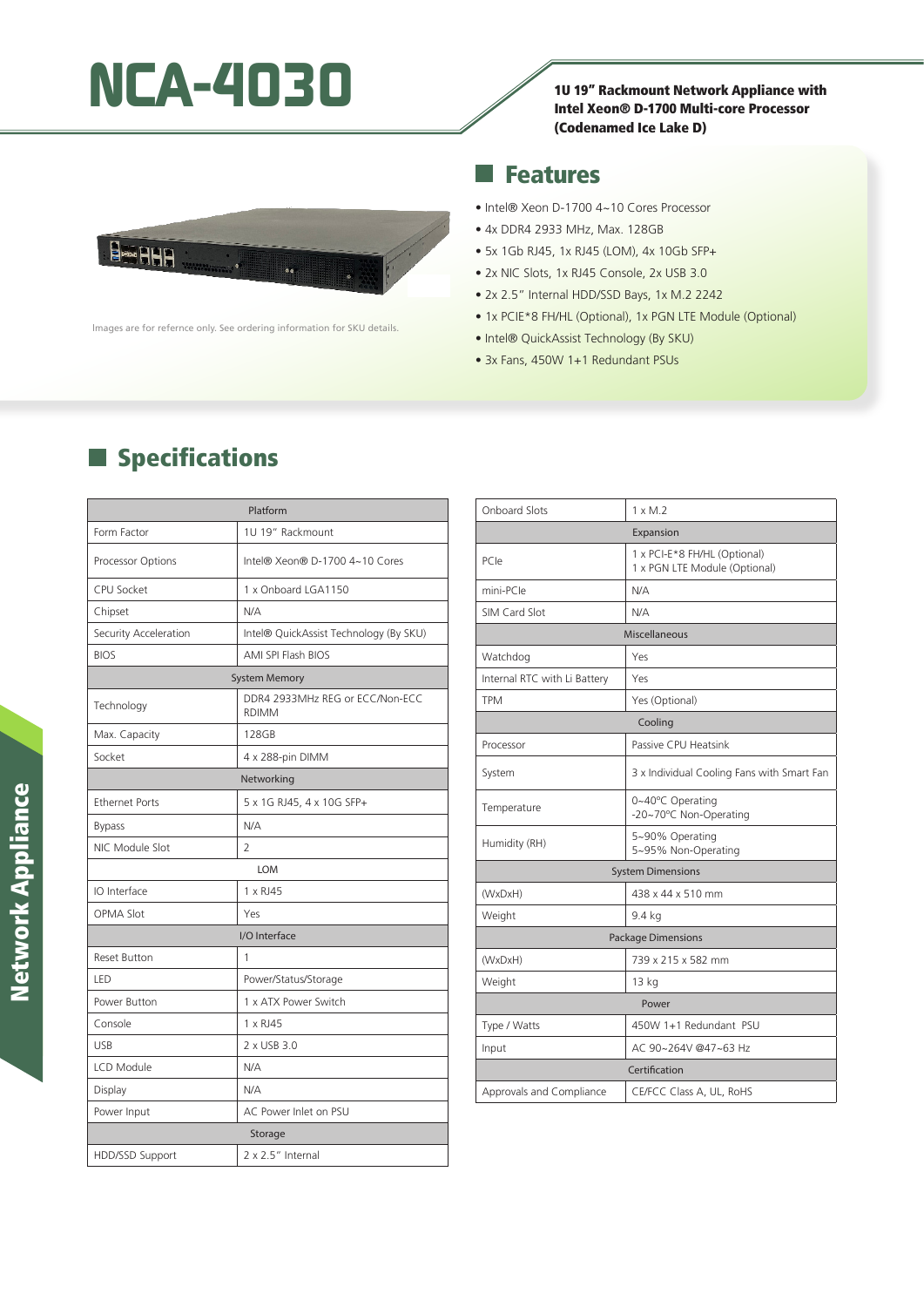# NCA-4030<br>
I<sup>10 19"</sup> Rackmount Network Appliance with

Intel Xeon® D-1700 Multi-core Processor (Codenamed Ice Lake D)

#### Features

Beann ..

lmages are for refernce only. See ordering information for SKU details.

- Intel® Xeon D-1700 4~10 Cores Processor
- 4x DDR4 2933 MHz, Max. 128GB
- 5x 1Gb RJ45, 1x RJ45 (LOM), 4x 10Gb SFP+
- 2x NIC Slots, 1x RJ45 Console, 2x USB 3.0
- 2x 2.5" Internal HDD/SSD Bays, 1x M.2 2242
- 1x PCIE\*8 FH/HL (Optional), 1x PGN LTE Module (Optional)
- Intel® QuickAssist Technology (By SKU)
- 3x Fans, 450W 1+1 Redundant PSUs

# **Specifications**

| Platform              |                                                 |  |
|-----------------------|-------------------------------------------------|--|
| Form Factor           | 1U 19" Rackmount                                |  |
| Processor Options     | Intel® Xeon® D-1700 4~10 Cores                  |  |
| CPU Socket            | 1 x Onboard LGA1150                             |  |
| Chipset               | N/A                                             |  |
| Security Acceleration | Intel® QuickAssist Technology (By SKU)          |  |
| <b>BIOS</b>           | AMI SPI Flash BIOS                              |  |
| <b>System Memory</b>  |                                                 |  |
| Technology            | DDR4 2933MHz REG or ECC/Non-ECC<br><b>RDIMM</b> |  |
| Max. Capacity         | 128GB                                           |  |
| Socket                | 4 x 288-pin DIMM                                |  |
| Networking            |                                                 |  |
| <b>Ethernet Ports</b> | 5 x 1G RJ45, 4 x 10G SFP+                       |  |
| <b>Bypass</b>         | N/A                                             |  |
| NIC Module Slot       | $\overline{2}$                                  |  |
| <b>LOM</b>            |                                                 |  |
| IO Interface          | 1 x RJ45                                        |  |
| <b>OPMA Slot</b>      | Yes                                             |  |
| I/O Interface         |                                                 |  |
| <b>Reset Button</b>   | 1                                               |  |
| LED                   | Power/Status/Storage                            |  |
| Power Button          | 1 x ATX Power Switch                            |  |
| Console               | 1 x RJ45                                        |  |
| <b>USB</b>            | 2 x USB 3.0                                     |  |
| <b>LCD Module</b>     | N/A                                             |  |
| Display               | N/A                                             |  |
| Power Input           | AC Power Inlet on PSU                           |  |
| Storage               |                                                 |  |
| HDD/SSD Support       | 2 x 2.5" Internal                               |  |

| <b>Onboard Slots</b>         | $1 \times M.2$                                                |
|------------------------------|---------------------------------------------------------------|
| Expansion                    |                                                               |
| PCIe                         | 1 x PCI-E*8 FH/HL (Optional)<br>1 x PGN LTE Module (Optional) |
| mini-PCIe                    | N/A                                                           |
| SIM Card Slot                | N/A                                                           |
| Miscellaneous                |                                                               |
| Watchdog                     | Yes                                                           |
| Internal RTC with Li Battery | Yes                                                           |
| <b>TPM</b>                   | Yes (Optional)                                                |
| Cooling                      |                                                               |
| Processor                    | Passive CPU Heatsink                                          |
| System                       | 3 x Individual Cooling Fans with Smart Fan                    |
| Temperature                  | 0~40°C Operating<br>-20~70°C Non-Operating                    |
| Humidity (RH)                | 5~90% Operating<br>5~95% Non-Operating                        |
| <b>System Dimensions</b>     |                                                               |
| (WxDxH)                      | 438 x 44 x 510 mm                                             |
| Weight                       | 9.4 kg                                                        |
| <b>Package Dimensions</b>    |                                                               |
| (WxDxH)                      | 739 x 215 x 582 mm                                            |
| Weight                       | 13 kg                                                         |
| Power                        |                                                               |
| Type / Watts                 | 450W 1+1 Redundant PSU                                        |
| Input                        | AC 90~264V @47~63 Hz                                          |
| Certification                |                                                               |
| Approvals and Compliance     | CE/FCC Class A, UL, RoHS                                      |